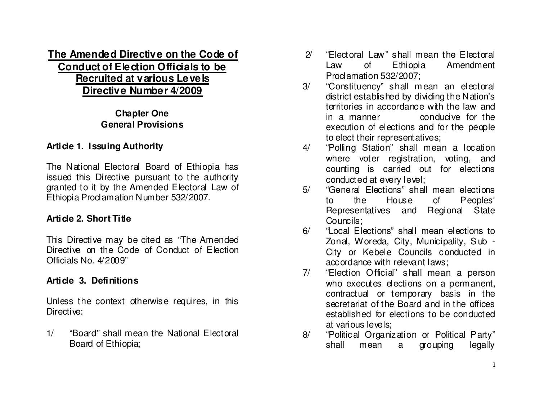# **The Amended Directive on the Code of Conduct of Election Officials to be Recruited at various LevelsDirective Number 4/2009**

# **Chapter One General Provisions**

# **Article 1. Issuing Authority**

The National Electoral Board of Ethiopia has issued this Directive pursuant to the authority granted to it by the Amended Electoral Law of Ethiopia Proclamation Number 532/2007.

# **Article 2. Short Title**

This Directive may be cited as "The Amended Directive on the Code of Conduct of Election Officials No. 4/2009"

# **Article 3. Definitions**

Unless the context otherwise requires, in this Directive:

1/ "Board" shall mean the National Electoral Board of Ethiopia;

- 2/ "Flectoral Law" shall mean the Flectoral Law of Ethiopia Amendment Proclamation 532/2007;
- 3/ "Constituency" shall m ean an electoral district established by dividing the Nation's territories in accordance with the law and in a manner conducive for the execution of elections and for the people to elect their representatives;
- 4/ "Polling Station" shall mean a location where voter registration, voting, and counting is carried out for elections conducted at every level;
- 5/ "General Elections" shall mean elections to the House of Peoples' Regional State Representatives and Councils;
- 6/ "Local Elections" shall mean elections to Zonal, Woreda, City, Municipality, S ub - City or Kebele Councils conducted in accordance with relevant laws;
- 7/ "Election Official" shall mean a person who executes elections on a permanent, contractual or temporary basis in the secretariat of the Board and in the offices established for elections to be conducted at various levels;
- 8/ "Political Organization or Political Party" legally shall mean a grouping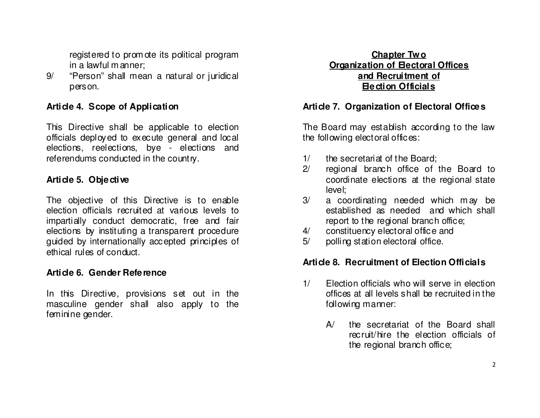registered to prom ote its political program in a lawful m anner;

9/ "Person" shall mean a natural or juridical person.

## **Article 4. Scope of Application**

This Directive shall be applicable to election officials deployed to execute general and local elections, reelections, bye - elections and referendums conducted in the country.

#### **Article 5. Objective**

The objective of this Directive is to enable election officials recruited at various levels to impartially conduct democratic, free and fair elections by instituting a transparent procedure guided by internationally accepted principles of ethical rules of conduct.

#### **Article 6. Gender Reference**

In this Directive, provisions set out in the masculine gender shall also apply to the feminine gender.

#### **Chapter Two Organization of Electoral Officesand Recruitment of Election Officials**

#### **Article 7. Organization of Electoral Offices**

The Board may establish according to the law the following electoral offices:

- 1/ the secretariat of the Board;
- 2/ regional branch office of the Board to coordinate elections at the regional state level;
- 3/ a coordinating needed which m ay be established as needed and which shall report to the regional branch office;
- 4/ constituency electoral office and
- 5/ polling station electoral office.

#### **Article 8. Recruitment of Election Officials**

- 1/ Election officials who will serve in election offices at all levels shall be recruited in the following manner:
	- A/ the secretariat of the Board shall recruit/hire the election officials of the regional branch office;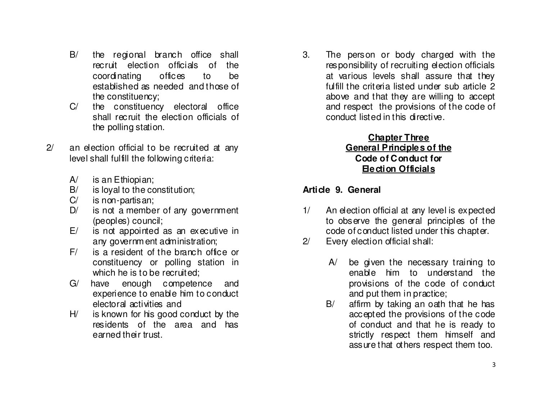- B/ the regional branch office shall recruit election officials of the coordinating offices to be established as needed and those of the constituency;
- C/ the constituency electoral office shall recruit the election officials of the polling station.
- 2/ an election official to be recruited at any level shall fulfill the following criteria:
	- A/ is an Ethiopian;
	- B/ is loyal to the constitution;
	- C/ is non-partisan;
	- D/ is not a member of any government (peoples) council;
	- E/ is not appointed as an executive in any governm ent administration;
	- F/ is a resident of the branch office or constituency or polling station in which he is to be recruited;
	- G/ have enough competence and experience to enable him to conduct electoral activities and
	- H/ is known for his good conduct by the residents of the area and has earned their trust.

3. The person or body charged with the responsibility of recruiting election officials at various levels shall assure that they fulfill the criteria listed under sub article 2 above and that they are willing to accept and respect the provisions of the code of conduct listed in this directive.

#### **Chapter Three General Principles of the Code of Conduct for Election Officials**

# **Article 9. General**

- 1/ An election official at any level is expected to observe the general principles of the code of conduct listed under this chapter.
- 2/ Every election official shall:
	- A/ be given the necessary training to enable him to understand the provisions of the code of conduct and put them in practice;
	- B/ affirm by taking an oath that he has accepted the provisions of the code of conduct and that he is ready to strictly respect them himself and assure that others respect them too.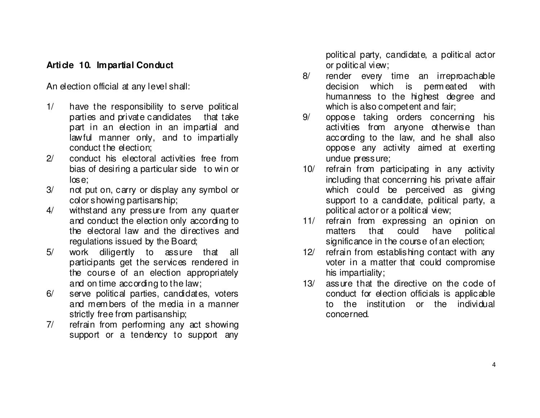#### **Article 10. Impartial Conduct**

An election official at any level shall:

- 1/ have the responsibility to serve political parties and private candidates that take part in an election in an impartial and lawful manner only, and to impartially conduct the election;
- 2/ conduct his electoral activities free from bias of desiring a particular side to win or lose;
- 3/ not put on, carry or display any symbol or color showing partisanship;
- 4/ withstand any pressure from any quarter and conduct the election only according to the electoral law and the directives and regulations issued by the Board;
- 5/ work diligently to assure that all participants get the services rendered in the course of an election appropriately and on time according to the law;
- 6/ serve political parties, candidates, voters and mem bers of the media in a manner strictly free from partisanship;
- 7/ refrain from performing any act showing support or a tendency to support any

political party, candidate, a political actor or political view;

- 8/ render every time an irreproachable decision which is permeated with humanness to the highest degree and which is also competent and fair;
- 9/ oppose taking orders concerning his activities from anyone otherwise than according to the law, and he shall also oppose any activity aimed at exerting undue pressure;
- 10/ refrain from participating in any activity including that concerning his private affair which could be perceived as giving support to a candidate, political party, a political actor or a political view;
- 11/ refrain from expressing an opinion on politic al matters that could have significance in the course of an election;
- 12/ refrain from establishing contact with any voter in a matter that could compromise his impartiality;
- 13/ assure that the directive on the code of conduct for election officials is applicable to the institution or the individual concerned.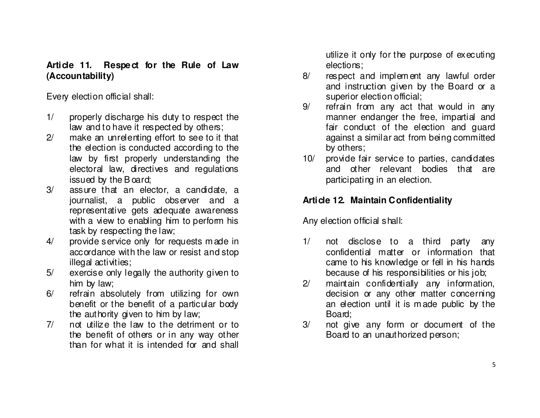## **Article 11. Respect for the Rule of Law (Accountability)**

Every election official shall:

- 1/ properly discharge his duty to respect the law and to have it respected by others;
- 2/ make an unrelenting effort to see to it that the election is conducted according to the law by first properly understanding the electoral law, directives and regulations issued by the B oard;
- 3/ assure that an elector, a candidate, a journalist, a public observer and a representative gets adequate awareness with a view to enabling him to perform his task by respecting the law;
- 4/ provide service only for requests m ade in accordance with the law or resist and stop illegal activities;
- 5/ exercise only legally the authority given to him by law;
- 6/ refrain absolutely from utilizing for own benefit or the benefit of a particular body the authority given to him by law;
- 7/ not utilize the law to the detriment or to the benefit of others or in any way other than for what it is intended for and shall

utilize it only for the purpose of executing elections;

- 8/ respect and implem ent any lawful order and instruction given by the Board or a superior election official;
- 9/ refrain from any act that would in any manner endanger the free, impartial and fair conduct of the election and guard against a similar act from being committed by others;
- 10/ provide fair service to parties, candidates and other relevant bodies that are participating in an election.

# **Article 12. Maintain Confidentiality**

Any election official shall:

- 1/ not disclose to a third party any confidential matter or information that came to his knowledge or fell in his hands because of his responsibilities or his job;
- 2/ maintain confidentially any information, decision or any other matter concerning an election until it is m ade public by the Board;
- 3/ not give any form or document of the Board to an unauthorized person;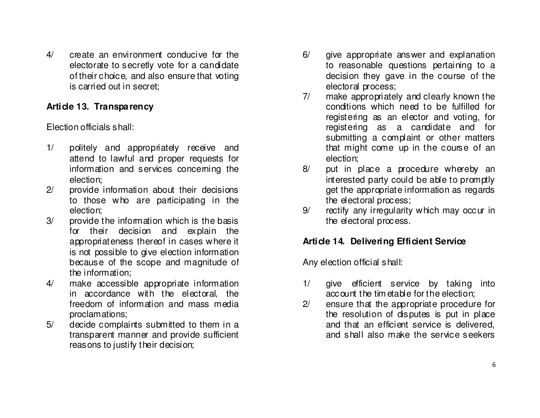4/ create an environment conducive for the electorate to secretly vote for a candidate of their choice, and also ensure that voting is carried out in secret;

#### **Article 13. Transparency**

Election officials shall:

- 1/ politely and appropriately receive and attend to lawful and proper requests for information and services concerning the election;
- 2/ provide information about their decisions to those who are participating in the election;
- 3/ provide the information which is the basis for their decision and explain the appropriateness thereof in cases where it is not possible to give election information because of the scope and magnitude of the information;
- 4/ make accessible appropriate information in accordance with the electoral, the freedom of information and mass media proclamations;
- 5/ decide complaints submitted to them in a transparent manner and provide sufficient reasons to justify their decision;
- 6/ give appropriate answer and explanation to reasonable questions pertaining to a decision they gave in the course of the electoral process;
- 7/ make appropriately and clearly known the conditions which need to be fulfilled for registering as an elector and voting, for registering as a candidate and for submitting a complaint or other matters that might come up in the course of an election;
- 8/ put in place a procedure whereby an interested party could be able to promptly get the appropriate information as regards the electoral process;
- 9/ rectify any irregularity which may occur in the electoral process.

## **Article 14. Delivering Efficient Service**

Any election official shall:

- 1/ give efficient service by taking into account the tim etable for the election;
- 2/ ensure that the appropriate procedure for the resolution of disputes is put in place and that an efficient service is delivered, and shall also make the service seekers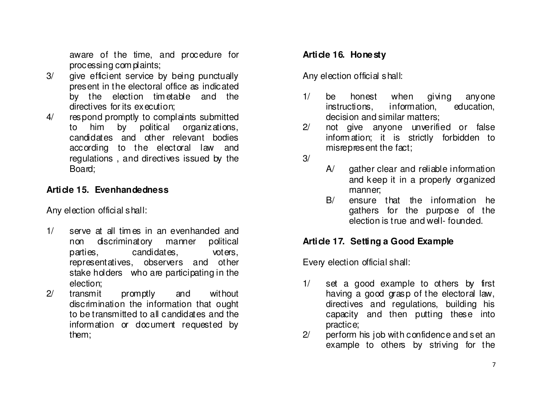aware of the time, and procedure for processing com plaints;

- 3/ give efficient service by being punctually present in the electoral office as indicated by the election tim etable and the directives for its execution;
- 4/ respond promptly to complaints submitted to him by political organizations, candidates and other relevant bodies according to the electoral law and regulations , and directives issued by the Board;

## **Article 15. Evenhandedness**

Any election official shall:

- 1/ serve at all tim es in an evenhanded and non discriminatory manner political parties, candidates, voters, representatives, observers and other stake holders who are participating in the election;
- 2/ transmit promptly and without discrimination the information that ought to be transmitted to all candidates and the information or document requested by them;

## **Article 16. Honesty**

Any election official shall:

- 1/ be honest when giving anyone education, instructions, information, decision and similar matters;
- 2/ not give anyone unverified or false inform ation; it is strictly forbidden to misrepresent the fact;

3/

- A/ gather clear and reliable information and keep it in a properly organized manner;
- B/ ensure that the information he gathers for the purpose of the election is true and well- founded.

#### **Article 17. Setting a Good Example**

Every election official shall:

- 1/ set a good example to others by first having a good grasp of the electoral law, directives and regulations, building his capacity and then putting these into practice;
- 2/ perform his job with confidence and set an example to others by striving for the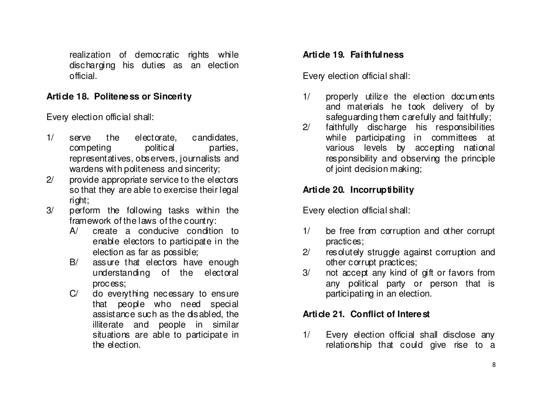realization of democratic rights while discharging his duties as an election official.

### **Article 18. Politeness or Sincerity**

Every election official shall:

- 1/ serve the electorate, candidates, competing political parties, representatives, observers, journalists and wardens with politeness and sincerity;
- 2/ provide appropriate service to the electors so that they are able to exercise their legal right;
- 3/ perform the following tasks within the framework of the laws of the country:
	- A/ create a conducive condition to enable electors to participate in the election as far as possible;
	- B/ assure that electors have enough understanding of the electoral process;
	- C/ do everything necessary to ensure that people who need special assistance such as the disabled, the illiterate and people in similar situations are able to participate in the election.

# **Article 19. Faithfulness**

Every election official shall:

- 1/ properly utilize the election docum ents and materials he took delivery of by safeguarding them carefully and faithfully;
- 2/ faithfully discharge his responsibilities while participating in committees at various levels by accepting national responsibility and observing the principle of joint decision making;

# **Article 20. Incorruptibility**

Every election official shall:

- 1/ be free from corruption and other corrupt practices;
- 2/ resolutely struggle against corruption and other corrupt practices;
- 3/ not accept any kind of gift or favors from any political party or person that is participating in an election.

# **Article 21. Conflict of Interest**

1/ Every election official shall disclose any relationship that could give rise to a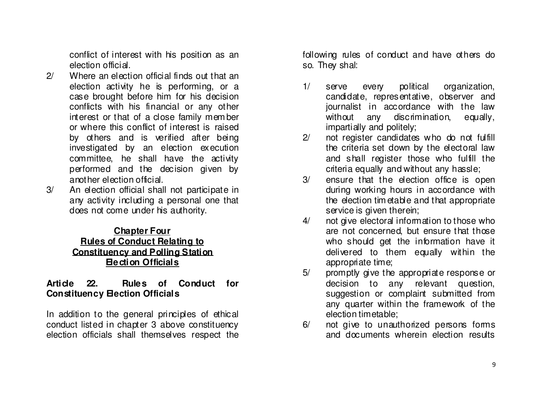conflict of interest with his position as an election official.

- 2/ Where an election official finds out that an election activity he is performing, or a case brought before him for his decision conflicts with his financial or any other interest or that of a close family mem ber or where this conflict of interest is raised by others and is verified after being investigated by an election execution committee, he shall have the activity performed and the decision given by another election official.
- 3/ An election official shall not participate in any activity including a personal one that does not come under his authority.

#### **Chapter Four Rules of Conduct Relating to Constituency and Polling StationElection Officials**

#### **Article 22. Rules of Conduct for Constituency Election Officials**

In addition to the general principles of ethical conduct listed in chapter 3 above constituency election officials shall themselves respect the following rules of conduct and have others do so. They shal:

- 1/ serve every political organization, candidate, representative, observer and journalist in accordance with the law without any discrimination, equally, impartially and politely;
- 2/ not register candidates who do not fulfill the criteria set down by the electoral law and shall register those who fulfill the criteria equally and without any hassle;
- 3/ ensure that the election office is open during working hours in accordance with the election tim etable and that appropriate service is given therein;
- 4/ not give electoral information to those who are not concerned, but ensure that those who should get the information have it delivered to them equally within the appropriate time;
- 5/ promptly give the appropriate response or decision to any relevant question, suggestion or complaint submitted from any quarter within the framework of the election timetable;
- 6/ not give to unauthorized persons forms and documents wherein election results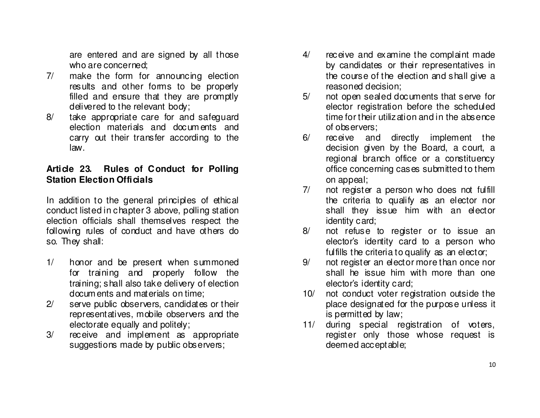are entered and are signed by all those who are concerned;

- 7/ make the form for announcing election results and other forms to be properly filled and ensure that they are promptly delivered to the relevant body;
- 8/ take appropriate care for and safeguard election materials and docum ents and carry out their transfer according to the law.

## **Article 23. Rules of Conduct for Polling Station Election Officials**

In addition to the general principles of ethical conduct listed in chapter 3 above, polling station election officials shall themselves respect the following rules of conduct and have others do so. They shall:

- 1/ honor and be present when summoned for training and properly follow the training; shall also take delivery of election docum ents and materials on time;
- 2/ serve public observers, candidates or their representatives, mobile observers and the electorate equally and politely;
- 3/ receive and implement as appropriate suggestions made by public observers;
- 4/ receive and examine the complaint made by candidates or their representatives in the course of the election and shall give a reasoned decision;
- 5/ not open sealed documents that serve for elector registration before the scheduled time for their utilization and in the absence of observers;
- 6/ receive and directly implement the decision given by the Board, a court, a regional branch office or a constituency office concerning cases submitted to them on appeal;
- 7/ not register a person who does not fulfill the criteria to qualify as an elector nor shall they issue him with an elector identity card;
- 8/ not refuse to register or to issue an elector's identity card to a person who fulfills the criteria to qualify as an elector;
- 9/ not register an elector more than once nor shall he issue him with more than one elector's identity card;
- 10/ not conduct voter registration outside the place designated for the purpose unless it is permitted by law;
- 11/ during special registration of voters, register only those whose request is deemed acceptable;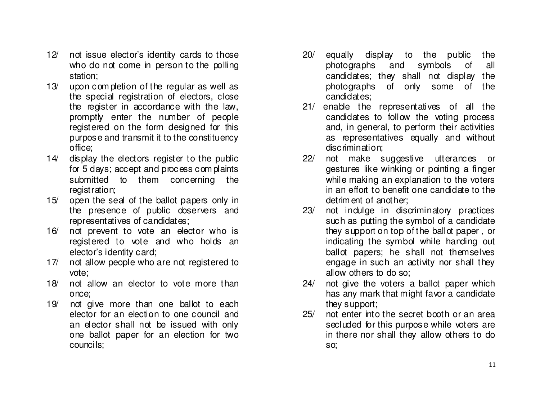- 12/ not issue elector's identity cards to those who do not come in person to the polling station;
- 13/ upon com pletion of the regular as well as the special registration of electors, close the register in accordance with the law, promptly enter the number of people registered on the form designed for this purpose and transmit it to the constituency office;
- 14/ display the electors register to the public for 5 days; accept and process com plaints submitted to them concerning the registration;
- 15/ open the seal of the ballot papers only in the presence of public observers and representatives of candidates;
- 16/ not prevent to vote an elector who is registered to vote and who holds an elector's identity card;
- 17/ not allow people who are not registered to vote;
- 18/ not allow an elector to vote more than once;
- 19/ not give more than one ballot to each elector for an election to one council and an elector shall not be issued with only one ballot paper for an election for two councils;
- 20/ equally display to the public the all photographs and symbols of candidates; they shall not display the photographs of only some of the candidates;
- 21/ enable the representatives of all the candidates to follow the voting process and, in general, to perform their activities as representatives equally and without discrimination;
- 22/ not make suggestive utterances or gestures like winking or pointing a finger while making an explanation to the voters in an effort to benefit one candidate to the detrim ent of another;
- 23/ not indulge in discriminatory practices such as putting the symbol of a candidate they support on top of the ballot paper , or indicating the symbol while handing out ballot papers; he shall not themselves engage in such an activity nor shall they allow others to do so;
- 24/ not give the voters a ballot paper which has any mark that might favor a candidate they support;
- 25/ not enter into the secret booth or an area secluded for this purpose while voters are in there nor shall they allow others to do so;